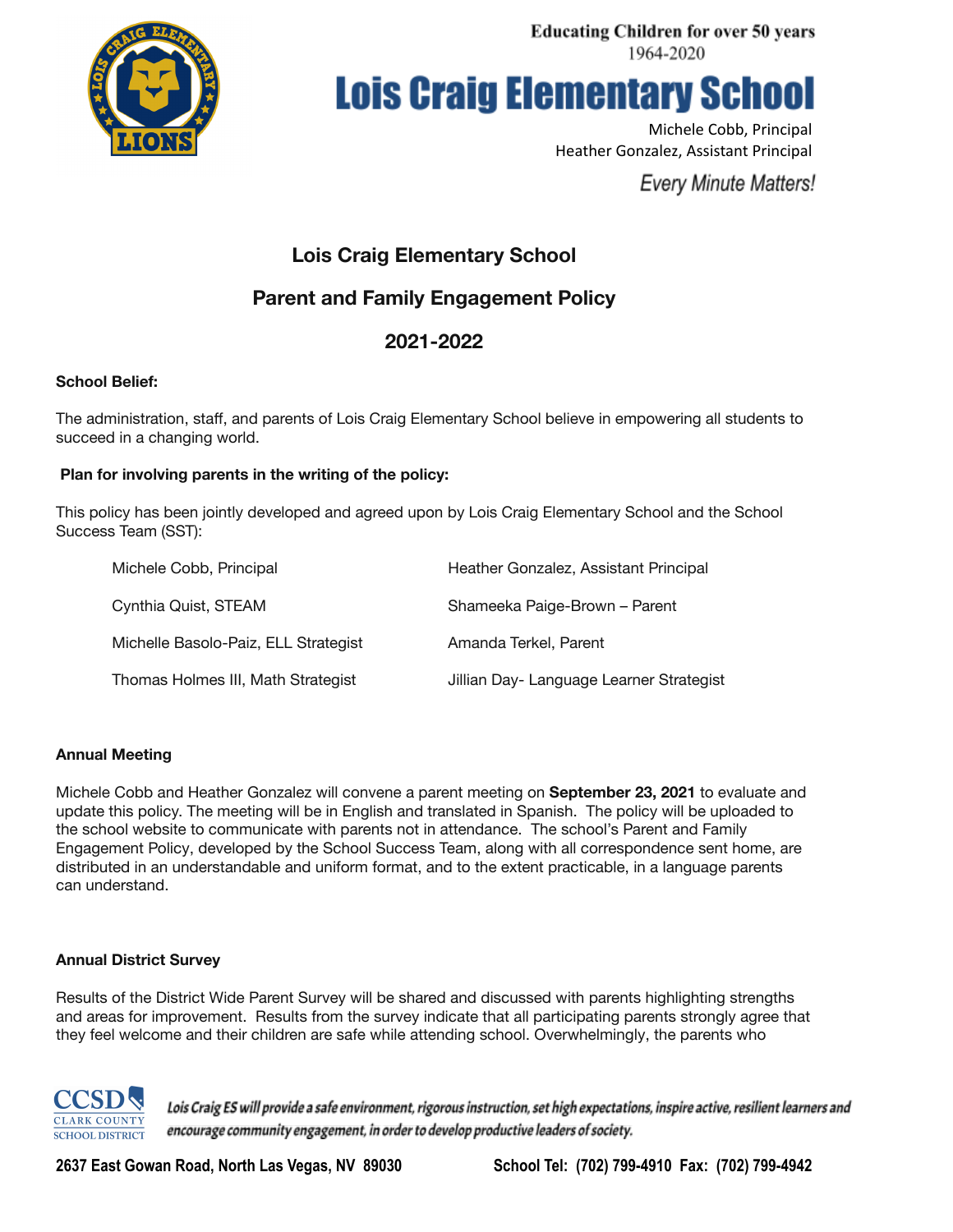

**Lois Craig Elementary School** 

Michele Cobb, Principal Heather Gonzalez, Assistant Principal

**Every Minute Matters!** 

# **Lois Craig Elementary School**

# **Parent and Family Engagement Policy**

# **2021-2022**

# **School Belief:**

The administration, staff, and parents of Lois Craig Elementary School believe in empowering all students to succeed in a changing world.

## **Plan for involving parents in the writing of the policy:**

This policy has been jointly developed and agreed upon by Lois Craig Elementary School and the School Success Team (SST):

| Michele Cobb, Principal              | Heather Gonzalez, Assistant Principal    |
|--------------------------------------|------------------------------------------|
| Cynthia Quist, STEAM                 | Shameeka Paige-Brown - Parent            |
| Michelle Basolo-Paiz, ELL Strategist | Amanda Terkel, Parent                    |
| Thomas Holmes III, Math Strategist   | Jillian Day- Language Learner Strategist |

### **Annual Meeting**

Michele Cobb and Heather Gonzalez will convene a parent meeting on **September 23, 2021** to evaluate and update this policy. The meeting will be in English and translated in Spanish. The policy will be uploaded to the school website to communicate with parents not in attendance. The school's Parent and Family Engagement Policy, developed by the School Success Team, along with all correspondence sent home, are distributed in an understandable and uniform format, and to the extent practicable, in a language parents can understand.

### **Annual District Survey**

Results of the District Wide Parent Survey will be shared and discussed with parents highlighting strengths and areas for improvement. Results from the survey indicate that all participating parents strongly agree that they feel welcome and their children are safe while attending school. Overwhelmingly, the parents who



Lois Craig ES will provide a safe environment, rigorous instruction, set high expectations, inspire active, resilient learners and encourage community engagement, in order to develop productive leaders of society.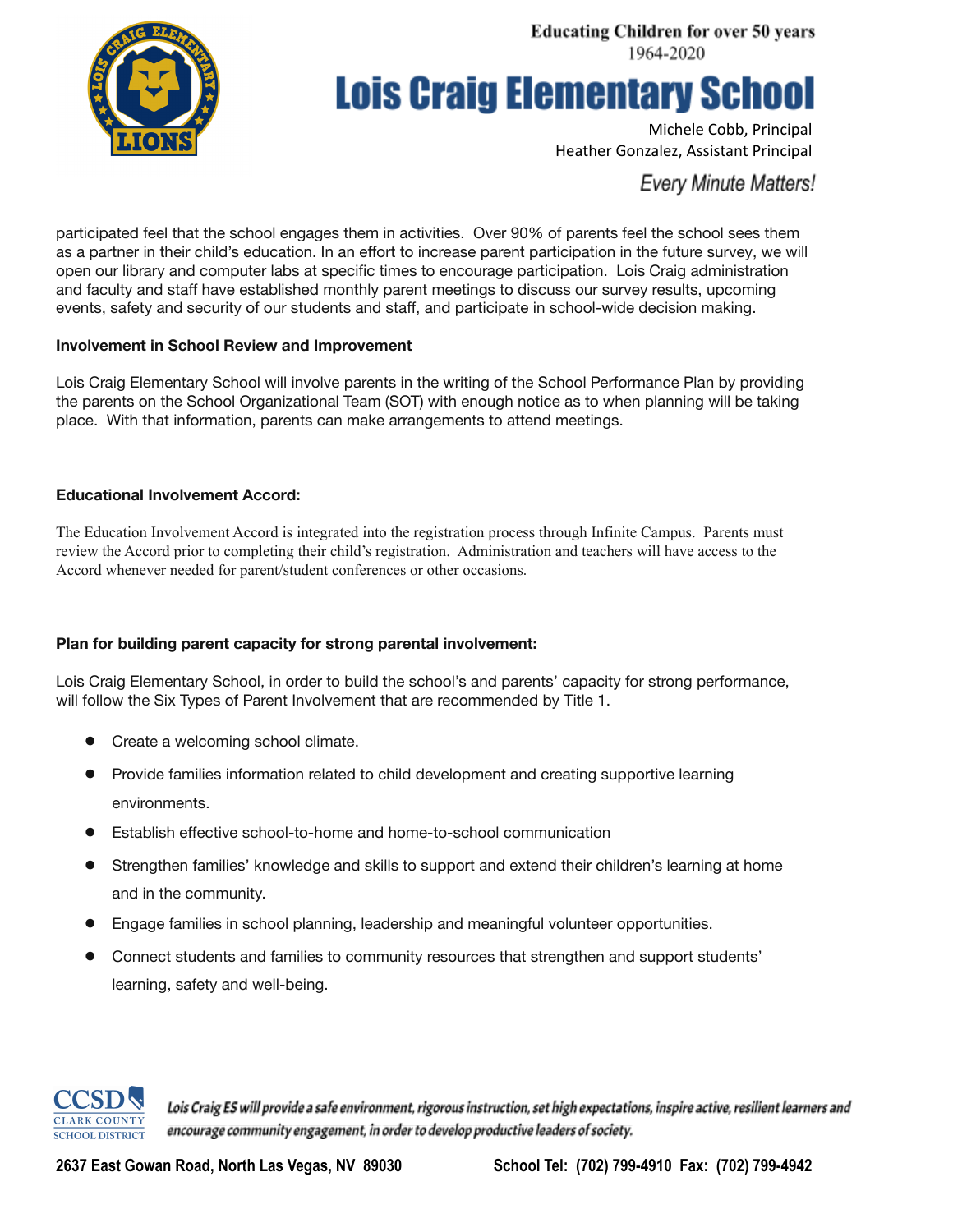

# **Lois Craig Elementary School**

Michele Cobb, Principal Heather Gonzalez, Assistant Principal

**Every Minute Matters!** 

participated feel that the school engages them in activities. Over 90% of parents feel the school sees them as a partner in their child's education. In an effort to increase parent participation in the future survey, we will open our library and computer labs at specific times to encourage participation. Lois Craig administration and faculty and staff have established monthly parent meetings to discuss our survey results, upcoming events, safety and security of our students and staff, and participate in school-wide decision making.

## **Involvement in School Review and Improvement**

Lois Craig Elementary School will involve parents in the writing of the School Performance Plan by providing the parents on the School Organizational Team (SOT) with enough notice as to when planning will be taking place. With that information, parents can make arrangements to attend meetings.

# **Educational Involvement Accord:**

The Education Involvement Accord is integrated into the registration process through Infinite Campus. Parents must review the Accord prior to completing their child's registration. Administration and teachers will have access to the Accord whenever needed for parent/student conferences or other occasions.

# **Plan for building parent capacity for strong parental involvement:**

Lois Craig Elementary School, in order to build the school's and parents' capacity for strong performance, will follow the Six Types of Parent Involvement that are recommended by Title 1.

- Create a welcoming school climate.
- Provide families information related to child development and creating supportive learning environments.
- Establish effective school-to-home and home-to-school communication
- Strengthen families' knowledge and skills to support and extend their children's learning at home and in the community.
- Engage families in school planning, leadership and meaningful volunteer opportunities.
- Connect students and families to community resources that strengthen and support students' learning, safety and well-being.



Lois Craig ES will provide a safe environment, rigorous instruction, set high expectations, inspire active, resilient learners and encourage community engagement, in order to develop productive leaders of society.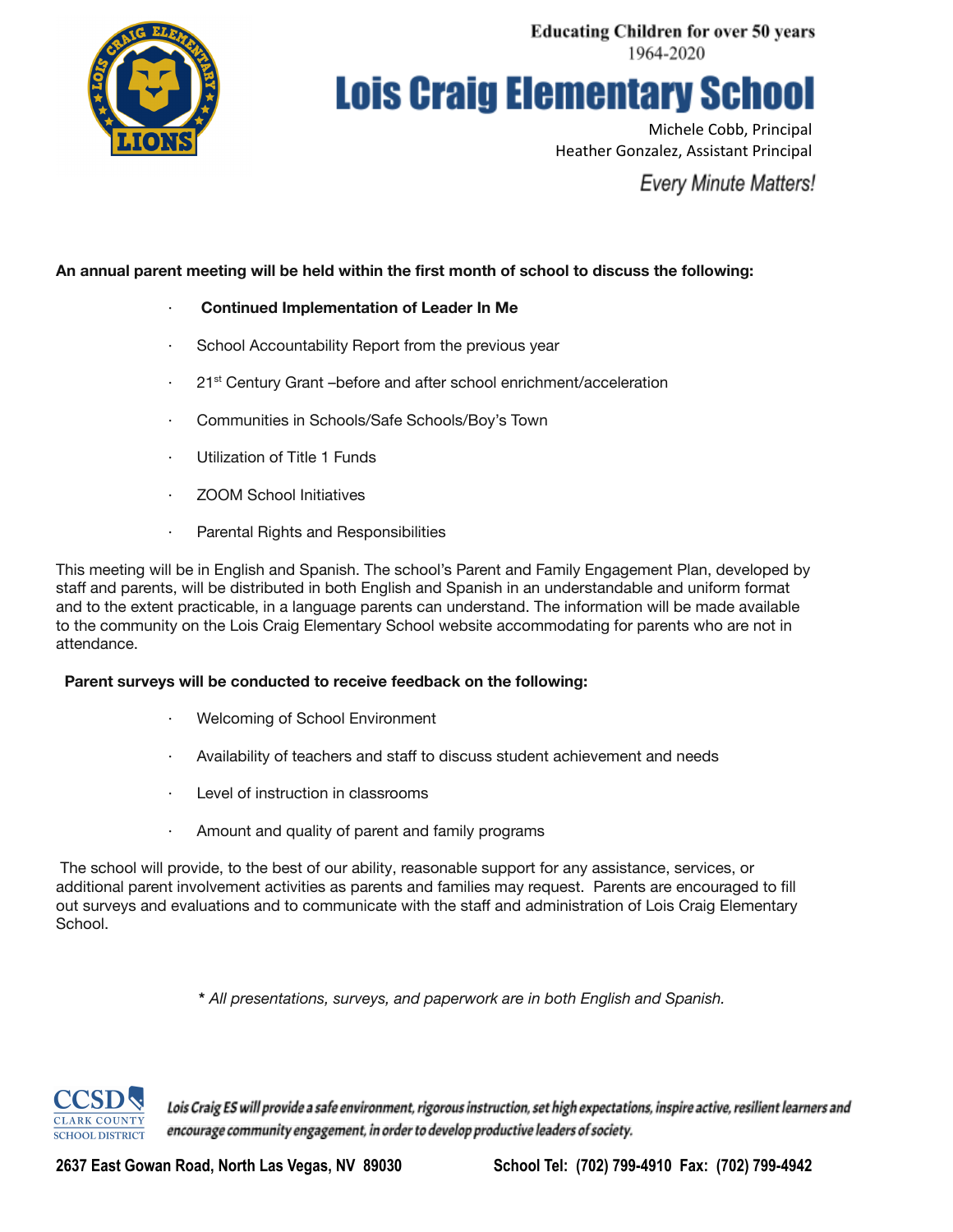

**Lois Craig Elementary School** 

Michele Cobb, Principal Heather Gonzalez, Assistant Principal

**Every Minute Matters!** 

# **An annual parent meeting will be held within the first month of school to discuss the following:**

- · **Continued Implementation of Leader In Me**
- · School Accountability Report from the previous year
- <sup>21st</sup> Century Grant –before and after school enrichment/acceleration
- · Communities in Schools/Safe Schools/Boy's Town
- Utilization of Title 1 Funds
- **ZOOM School Initiatives**
- · Parental Rights and Responsibilities

This meeting will be in English and Spanish. The school's Parent and Family Engagement Plan, developed by staff and parents, will be distributed in both English and Spanish in an understandable and uniform format and to the extent practicable, in a language parents can understand. The information will be made available to the community on the Lois Craig Elementary School website accommodating for parents who are not in attendance.

### **Parent surveys will be conducted to receive feedback on the following:**

- Welcoming of School Environment
- Availability of teachers and staff to discuss student achievement and needs
- Level of instruction in classrooms
- · Amount and quality of parent and family programs

The school will provide, to the best of our ability, reasonable support for any assistance, services, or additional parent involvement activities as parents and families may request. Parents are encouraged to fill out surveys and evaluations and to communicate with the staff and administration of Lois Craig Elementary School.

**\*** *All presentations, surveys, and paperwork are in both English and Spanish.*



Lois Craig ES will provide a safe environment, rigorous instruction, set high expectations, inspire active, resilient learners and encourage community engagement, in order to develop productive leaders of society.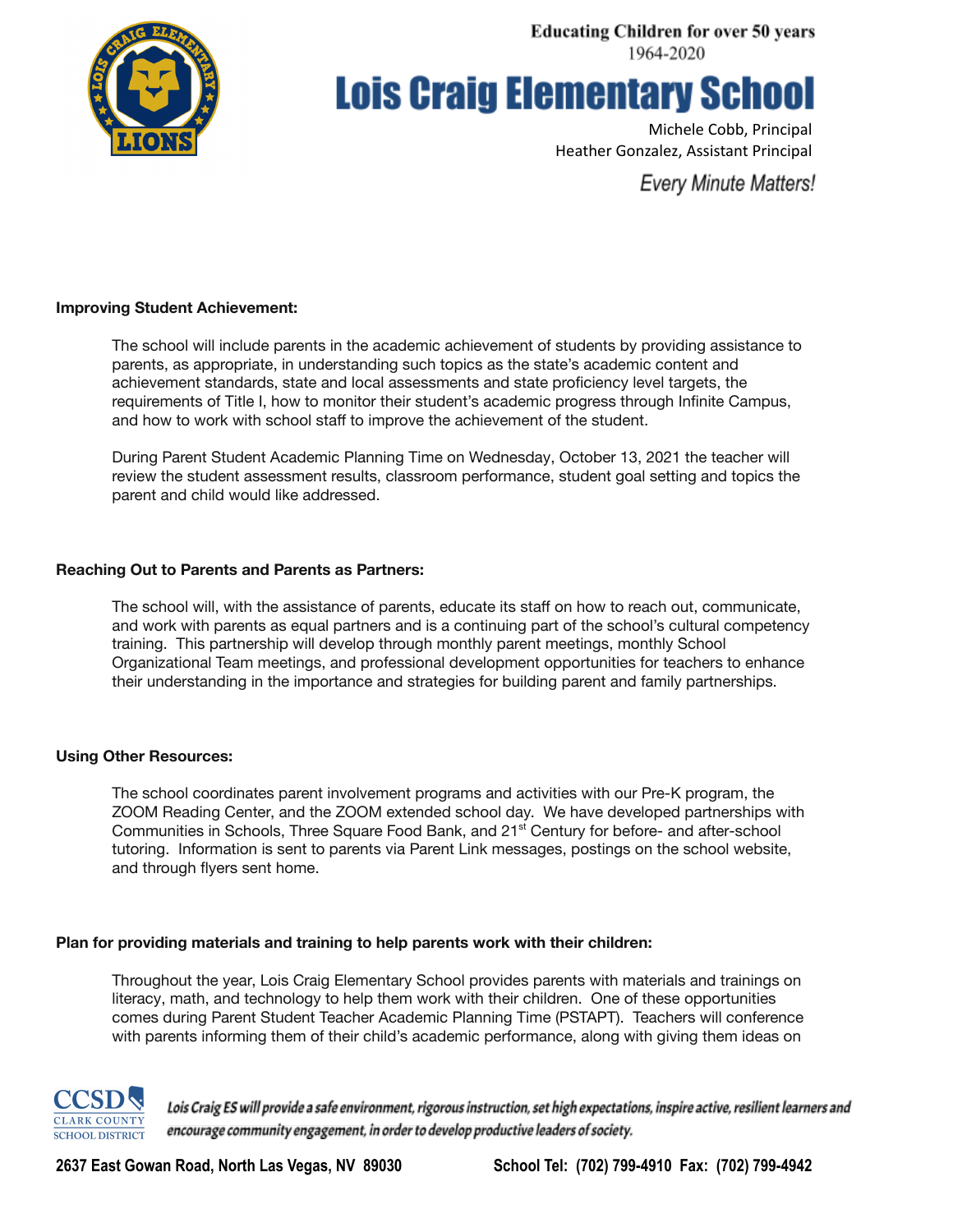

# **Lois Craig Elementary School**

Michele Cobb, Principal Heather Gonzalez, Assistant Principal

**Every Minute Matters!** 

### **Improving Student Achievement:**

The school will include parents in the academic achievement of students by providing assistance to parents, as appropriate, in understanding such topics as the state's academic content and achievement standards, state and local assessments and state proficiency level targets, the requirements of Title I, how to monitor their student's academic progress through Infinite Campus, and how to work with school staff to improve the achievement of the student.

During Parent Student Academic Planning Time on Wednesday, October 13, 2021 the teacher will review the student assessment results, classroom performance, student goal setting and topics the parent and child would like addressed.

## **Reaching Out to Parents and Parents as Partners:**

The school will, with the assistance of parents, educate its staff on how to reach out, communicate, and work with parents as equal partners and is a continuing part of the school's cultural competency training. This partnership will develop through monthly parent meetings, monthly School Organizational Team meetings, and professional development opportunities for teachers to enhance their understanding in the importance and strategies for building parent and family partnerships.

### **Using Other Resources:**

The school coordinates parent involvement programs and activities with our Pre-K program, the ZOOM Reading Center, and the ZOOM extended school day. We have developed partnerships with Communities in Schools, Three Square Food Bank, and 21<sup>st</sup> Century for before- and after-school tutoring. Information is sent to parents via Parent Link messages, postings on the school website, and through flyers sent home.

### **Plan for providing materials and training to help parents work with their children:**

Throughout the year, Lois Craig Elementary School provides parents with materials and trainings on literacy, math, and technology to help them work with their children. One of these opportunities comes during Parent Student Teacher Academic Planning Time (PSTAPT). Teachers will conference with parents informing them of their child's academic performance, along with giving them ideas on



Lois Craig ES will provide a safe environment, rigorous instruction, set high expectations, inspire active, resilient learners and encourage community engagement, in order to develop productive leaders of society.